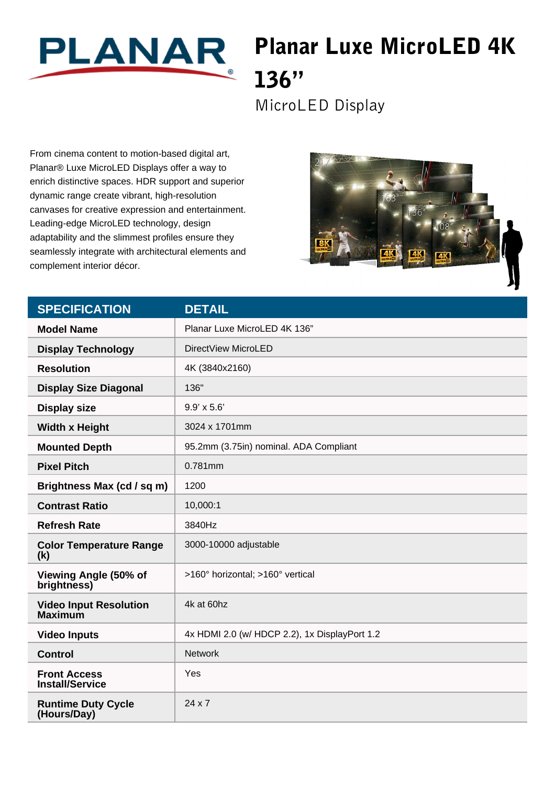

## Planar Luxe MicroLED 4K 136"

MicroLED Display

From cinema content to motion-based digital art, Planar® Luxe MicroLED Displays offer a way to enrich distinctive spaces. HDR support and superior dynamic range create vibrant, high-resolution canvases for creative expression and entertainment. Leading-edge MicroLED technology, design adaptability and the slimmest profiles ensure they seamlessly integrate with architectural elements and complement interior décor.



| <b>SPECIFICATION</b>                            | <b>DETAIL</b>                                 |
|-------------------------------------------------|-----------------------------------------------|
| <b>Model Name</b>                               | Planar Luxe MicroLED 4K 136"                  |
| <b>Display Technology</b>                       | DirectView MicroLED                           |
| <b>Resolution</b>                               | 4K (3840x2160)                                |
| <b>Display Size Diagonal</b>                    | 136"                                          |
| <b>Display size</b>                             | $9.9' \times 5.6'$                            |
| <b>Width x Height</b>                           | 3024 x 1701mm                                 |
| <b>Mounted Depth</b>                            | 95.2mm (3.75in) nominal. ADA Compliant        |
| <b>Pixel Pitch</b>                              | 0.781mm                                       |
| Brightness Max (cd / sq m)                      | 1200                                          |
| <b>Contrast Ratio</b>                           | 10,000:1                                      |
| <b>Refresh Rate</b>                             | 3840Hz                                        |
| <b>Color Temperature Range</b><br>(k)           | 3000-10000 adjustable                         |
| Viewing Angle (50% of<br>brightness)            | >160° horizontal; >160° vertical              |
| <b>Video Input Resolution</b><br><b>Maximum</b> | 4k at 60hz                                    |
| <b>Video Inputs</b>                             | 4x HDMI 2.0 (w/ HDCP 2.2), 1x DisplayPort 1.2 |
| <b>Control</b>                                  | <b>Network</b>                                |
| <b>Front Access</b><br><b>Install/Service</b>   | Yes                                           |
| <b>Runtime Duty Cycle</b><br>(Hours/Day)        | $24 \times 7$                                 |